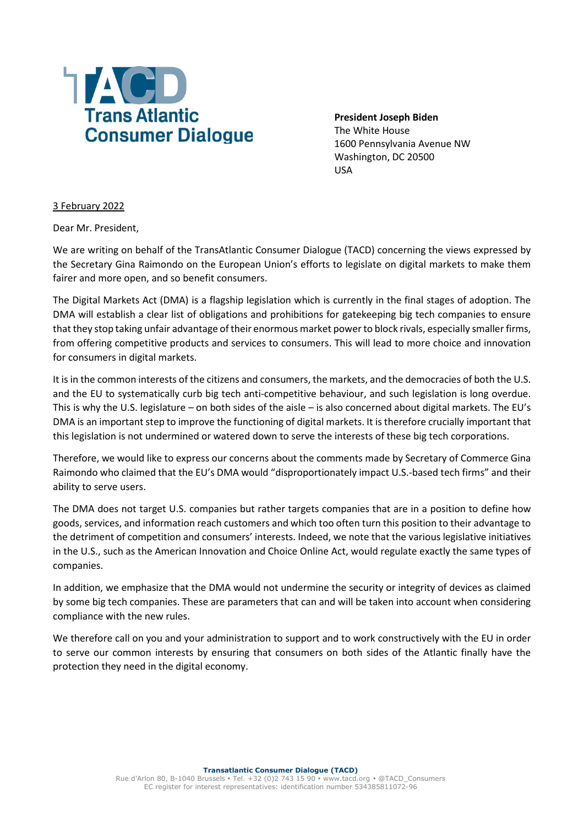

 **President Joseph Biden** The White House 1600 Pennsylvania Avenue NW Washington, DC 20500 USA

3 February 2022

Dear Mr. President,

We are writing on behalf of the TransAtlantic Consumer Dialogue (TACD) concerning the views expressed by the Secretary Gina Raimondo on the European Union's efforts to legislate on digital markets to make them fairer and more open, and so benefit consumers.

The Digital Markets Act (DMA) is a flagship legislation which is currently in the final stages of adoption. The DMA will establish a clear list of obligations and prohibitions for gatekeeping big tech companies to ensure that they stop taking unfair advantage of their enormous market power to block rivals, especially smaller firms, from offering competitive products and services to consumers. This will lead to more choice and innovation for consumers in digital markets.

It is in the common interests of the citizens and consumers, the markets, and the democracies of both the U.S. and the EU to systematically curb big tech anti-competitive behaviour, and such legislation is long overdue. This is why the U.S. legislature – on both sides of the aisle – is also concerned about digital markets. The EU's DMA is an important step to improve the functioning of digital markets. It is therefore crucially important that this legislation is not undermined or watered down to serve the interests of these big tech corporations.

Therefore, we would like to express our concerns about the comments made by Secretary of Commerce Gina Raimondo who claimed that the EU's DMA would "disproportionately impact U.S.-based tech firms" and their ability to serve users.

The DMA does not target U.S. companies but rather targets companies that are in a position to define how goods, services, and information reach customers and which too often turn this position to their advantage to the detriment of competition and consumers' interests. Indeed, we note that the various legislative initiatives in the U.S., such as the American Innovation and Choice Online Act, would regulate exactly the same types of companies.

In addition, we emphasize that the DMA would not undermine the security or integrity of devices as claimed by some big tech companies. These are parameters that can and will be taken into account when considering compliance with the new rules.

We therefore call on you and your administration to support and to work constructively with the EU in order to serve our common interests by ensuring that consumers on both sides of the Atlantic finally have the protection they need in the digital economy.